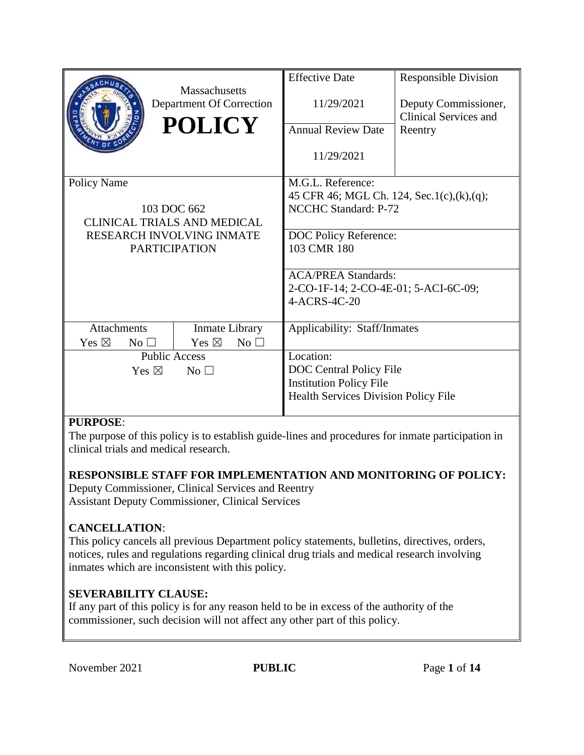|                                    |                 | <b>Massachusetts</b>            | <b>Effective Date</b>                       | <b>Responsible Division</b>                   |  |
|------------------------------------|-----------------|---------------------------------|---------------------------------------------|-----------------------------------------------|--|
|                                    |                 | Department Of Correction        | 11/29/2021                                  | Deputy Commissioner,<br>Clinical Services and |  |
|                                    |                 | <b>POLICY</b>                   | <b>Annual Review Date</b>                   | Reentry                                       |  |
|                                    |                 |                                 | 11/29/2021                                  |                                               |  |
| <b>Policy Name</b>                 |                 |                                 | M.G.L. Reference:                           |                                               |  |
|                                    |                 |                                 | 45 CFR 46; MGL Ch. 124, Sec.1(c),(k),(q);   |                                               |  |
|                                    |                 | 103 DOC 662                     | NCCHC Standard: P-72                        |                                               |  |
| <b>CLINICAL TRIALS AND MEDICAL</b> |                 |                                 |                                             |                                               |  |
| <b>RESEARCH INVOLVING INMATE</b>   |                 |                                 | DOC Policy Reference:                       |                                               |  |
|                                    |                 | <b>PARTICIPATION</b>            | 103 CMR 180                                 |                                               |  |
|                                    |                 |                                 | <b>ACA/PREA Standards:</b>                  |                                               |  |
|                                    |                 |                                 | 2-CO-1F-14; 2-CO-4E-01; 5-ACI-6C-09;        |                                               |  |
|                                    |                 |                                 | 4-ACRS-4C-20                                |                                               |  |
|                                    |                 |                                 |                                             |                                               |  |
| <b>Attachments</b>                 |                 | <b>Inmate Library</b>           | Applicability: Staff/Inmates                |                                               |  |
| Yes $\boxtimes$<br>No <sub>1</sub> |                 | Yes $\boxtimes$<br>No $\square$ |                                             |                                               |  |
| <b>Public Access</b>               |                 |                                 | Location:                                   |                                               |  |
|                                    | Yes $\boxtimes$ | No <sub>1</sub>                 | DOC Central Policy File                     |                                               |  |
|                                    |                 |                                 | <b>Institution Policy File</b>              |                                               |  |
|                                    |                 |                                 | <b>Health Services Division Policy File</b> |                                               |  |
|                                    |                 |                                 |                                             |                                               |  |

# **PURPOSE**:

The purpose of this policy is to establish guide-lines and procedures for inmate participation in clinical trials and medical research.

# **RESPONSIBLE STAFF FOR IMPLEMENTATION AND MONITORING OF POLICY:**

Deputy Commissioner, Clinical Services and Reentry Assistant Deputy Commissioner, Clinical Services

# **CANCELLATION**:

This policy cancels all previous Department policy statements, bulletins, directives, orders, notices, rules and regulations regarding clinical drug trials and medical research involving inmates which are inconsistent with this policy.

# **SEVERABILITY CLAUSE:**

If any part of this policy is for any reason held to be in excess of the authority of the commissioner, such decision will not affect any other part of this policy.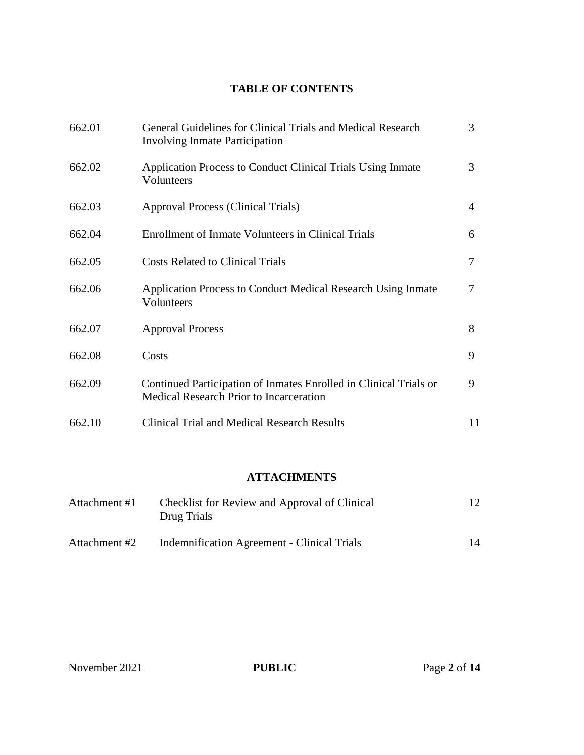# **TABLE OF CONTENTS**

| 662.01 | General Guidelines for Clinical Trials and Medical Research<br><b>Involving Inmate Participation</b>         | 3  |
|--------|--------------------------------------------------------------------------------------------------------------|----|
| 662.02 | Application Process to Conduct Clinical Trials Using Inmate<br>Volunteers                                    | 3  |
| 662.03 | Approval Process (Clinical Trials)                                                                           | 4  |
| 662.04 | Enrollment of Inmate Volunteers in Clinical Trials                                                           | 6  |
| 662.05 | <b>Costs Related to Clinical Trials</b>                                                                      | 7  |
| 662.06 | <b>Application Process to Conduct Medical Research Using Inmate</b><br>Volunteers                            | 7  |
| 662.07 | <b>Approval Process</b>                                                                                      | 8  |
| 662.08 | Costs                                                                                                        | 9  |
| 662.09 | Continued Participation of Inmates Enrolled in Clinical Trials or<br>Medical Research Prior to Incarceration | 9  |
| 662.10 | <b>Clinical Trial and Medical Research Results</b>                                                           | 11 |

# **ATTACHMENTS**

| Attachment #1 | Checklist for Review and Approval of Clinical<br>Drug Trials |    |
|---------------|--------------------------------------------------------------|----|
| Attachment #2 | <b>Indemnification Agreement - Clinical Trials</b>           | 14 |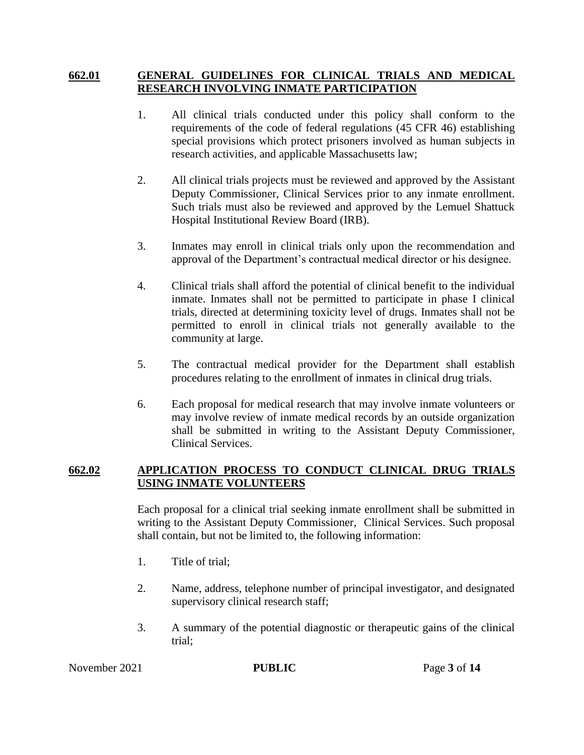### **662.01 GENERAL GUIDELINES FOR CLINICAL TRIALS AND MEDICAL RESEARCH INVOLVING INMATE PARTICIPATION**

- 1. All clinical trials conducted under this policy shall conform to the requirements of the code of federal regulations (45 CFR 46) establishing special provisions which protect prisoners involved as human subjects in research activities, and applicable Massachusetts law;
- 2. All clinical trials projects must be reviewed and approved by the Assistant Deputy Commissioner, Clinical Services prior to any inmate enrollment. Such trials must also be reviewed and approved by the Lemuel Shattuck Hospital Institutional Review Board (IRB).
- 3. Inmates may enroll in clinical trials only upon the recommendation and approval of the Department's contractual medical director or his designee.
- 4. Clinical trials shall afford the potential of clinical benefit to the individual inmate. Inmates shall not be permitted to participate in phase I clinical trials, directed at determining toxicity level of drugs. Inmates shall not be permitted to enroll in clinical trials not generally available to the community at large.
- 5. The contractual medical provider for the Department shall establish procedures relating to the enrollment of inmates in clinical drug trials.
- 6. Each proposal for medical research that may involve inmate volunteers or may involve review of inmate medical records by an outside organization shall be submitted in writing to the Assistant Deputy Commissioner, Clinical Services.

### **662.02 APPLICATION PROCESS TO CONDUCT CLINICAL DRUG TRIALS USING INMATE VOLUNTEERS**

Each proposal for a clinical trial seeking inmate enrollment shall be submitted in writing to the Assistant Deputy Commissioner, Clinical Services. Such proposal shall contain, but not be limited to, the following information:

- 1. Title of trial;
- 2. Name, address, telephone number of principal investigator, and designated supervisory clinical research staff;
- 3. A summary of the potential diagnostic or therapeutic gains of the clinical trial;

November 2021 **PUBLIC** Page 3 of 14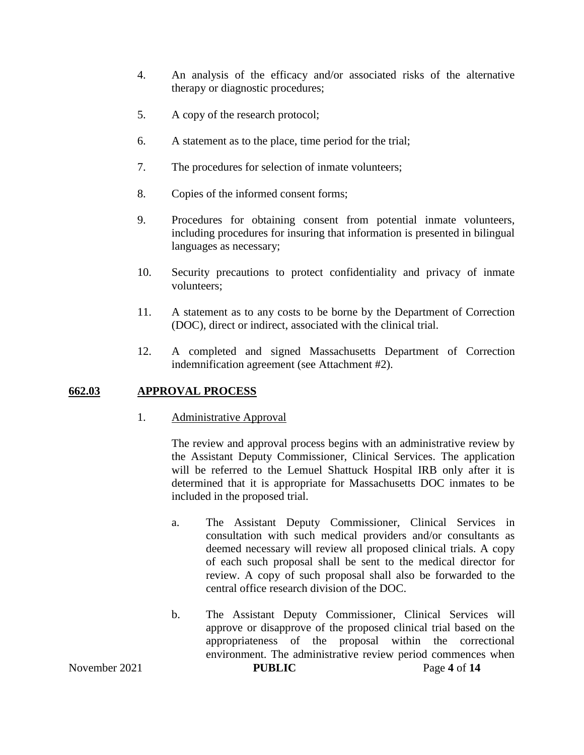- 4. An analysis of the efficacy and/or associated risks of the alternative therapy or diagnostic procedures;
- 5. A copy of the research protocol;
- 6. A statement as to the place, time period for the trial;
- 7. The procedures for selection of inmate volunteers;
- 8. Copies of the informed consent forms;
- 9. Procedures for obtaining consent from potential inmate volunteers, including procedures for insuring that information is presented in bilingual languages as necessary;
- 10. Security precautions to protect confidentiality and privacy of inmate volunteers;
- 11. A statement as to any costs to be borne by the Department of Correction (DOC), direct or indirect, associated with the clinical trial.
- 12. A completed and signed Massachusetts Department of Correction indemnification agreement (see Attachment #2).

# **662.03 APPROVAL PROCESS**

#### 1. Administrative Approval

The review and approval process begins with an administrative review by the Assistant Deputy Commissioner, Clinical Services. The application will be referred to the Lemuel Shattuck Hospital IRB only after it is determined that it is appropriate for Massachusetts DOC inmates to be included in the proposed trial.

- a. The Assistant Deputy Commissioner, Clinical Services in consultation with such medical providers and/or consultants as deemed necessary will review all proposed clinical trials. A copy of each such proposal shall be sent to the medical director for review. A copy of such proposal shall also be forwarded to the central office research division of the DOC.
- b. The Assistant Deputy Commissioner, Clinical Services will approve or disapprove of the proposed clinical trial based on the appropriateness of the proposal within the correctional environment. The administrative review period commences when

November 2021 **PUBLIC** Page 4 of 14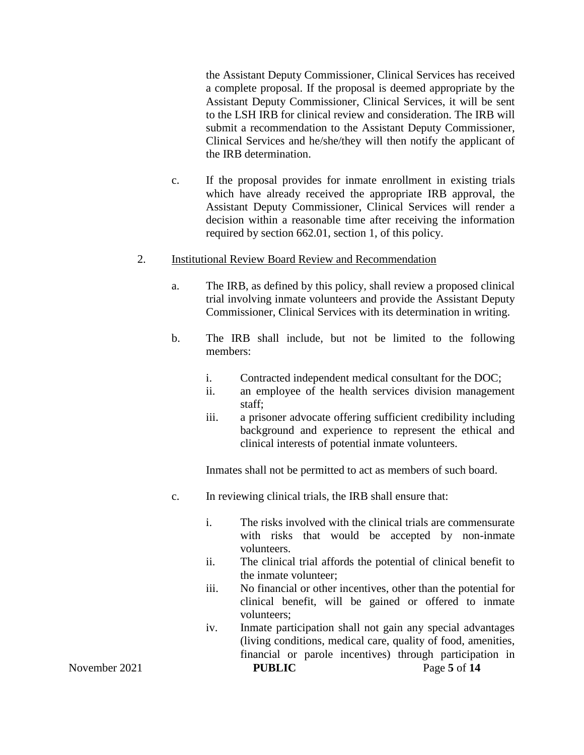the Assistant Deputy Commissioner, Clinical Services has received a complete proposal. If the proposal is deemed appropriate by the Assistant Deputy Commissioner, Clinical Services, it will be sent to the LSH IRB for clinical review and consideration. The IRB will submit a recommendation to the Assistant Deputy Commissioner, Clinical Services and he/she/they will then notify the applicant of the IRB determination.

c. If the proposal provides for inmate enrollment in existing trials which have already received the appropriate IRB approval, the Assistant Deputy Commissioner, Clinical Services will render a decision within a reasonable time after receiving the information required by section 662.01, section 1, of this policy.

#### 2. Institutional Review Board Review and Recommendation

- a. The IRB, as defined by this policy, shall review a proposed clinical trial involving inmate volunteers and provide the Assistant Deputy Commissioner, Clinical Services with its determination in writing.
- b. The IRB shall include, but not be limited to the following members:
	- i. Contracted independent medical consultant for the DOC;
	- ii. an employee of the health services division management staff;
	- iii. a prisoner advocate offering sufficient credibility including background and experience to represent the ethical and clinical interests of potential inmate volunteers.

Inmates shall not be permitted to act as members of such board.

- c. In reviewing clinical trials, the IRB shall ensure that:
	- i. The risks involved with the clinical trials are commensurate with risks that would be accepted by non-inmate volunteers.
	- ii. The clinical trial affords the potential of clinical benefit to the inmate volunteer;
	- iii. No financial or other incentives, other than the potential for clinical benefit, will be gained or offered to inmate volunteers;
- November 2021 **PUBLIC** Page 5 of 14 iv. Inmate participation shall not gain any special advantages (living conditions, medical care, quality of food, amenities, financial or parole incentives) through participation in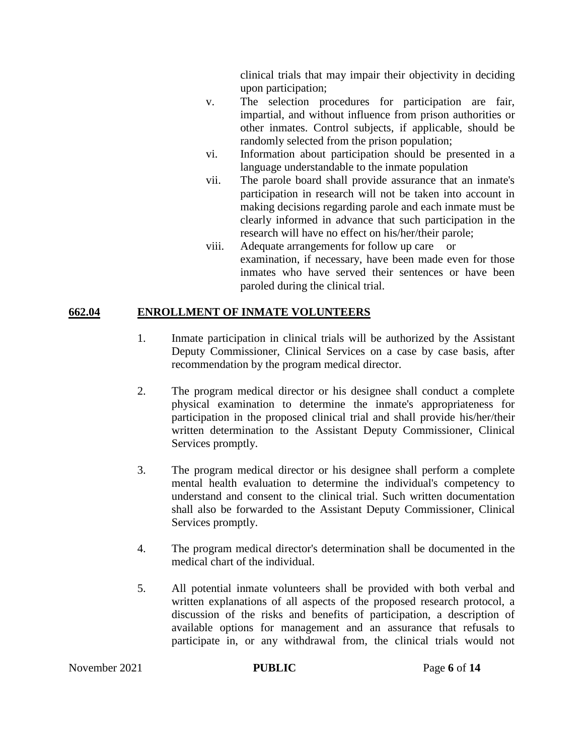clinical trials that may impair their objectivity in deciding upon participation;

- v. The selection procedures for participation are fair, impartial, and without influence from prison authorities or other inmates. Control subjects, if applicable, should be randomly selected from the prison population;
- vi. Information about participation should be presented in a language understandable to the inmate population
- vii. The parole board shall provide assurance that an inmate's participation in research will not be taken into account in making decisions regarding parole and each inmate must be clearly informed in advance that such participation in the research will have no effect on his/her/their parole;
- viii. Adequate arrangements for follow up care or examination, if necessary, have been made even for those inmates who have served their sentences or have been paroled during the clinical trial.

# **662.04 ENROLLMENT OF INMATE VOLUNTEERS**

- 1. Inmate participation in clinical trials will be authorized by the Assistant Deputy Commissioner, Clinical Services on a case by case basis, after recommendation by the program medical director.
- 2. The program medical director or his designee shall conduct a complete physical examination to determine the inmate's appropriateness for participation in the proposed clinical trial and shall provide his/her/their written determination to the Assistant Deputy Commissioner, Clinical Services promptly.
- 3. The program medical director or his designee shall perform a complete mental health evaluation to determine the individual's competency to understand and consent to the clinical trial. Such written documentation shall also be forwarded to the Assistant Deputy Commissioner, Clinical Services promptly.
- 4. The program medical director's determination shall be documented in the medical chart of the individual.
- 5. All potential inmate volunteers shall be provided with both verbal and written explanations of all aspects of the proposed research protocol, a discussion of the risks and benefits of participation, a description of available options for management and an assurance that refusals to participate in, or any withdrawal from, the clinical trials would not

November 2021 **PUBLIC** Page 6 of 14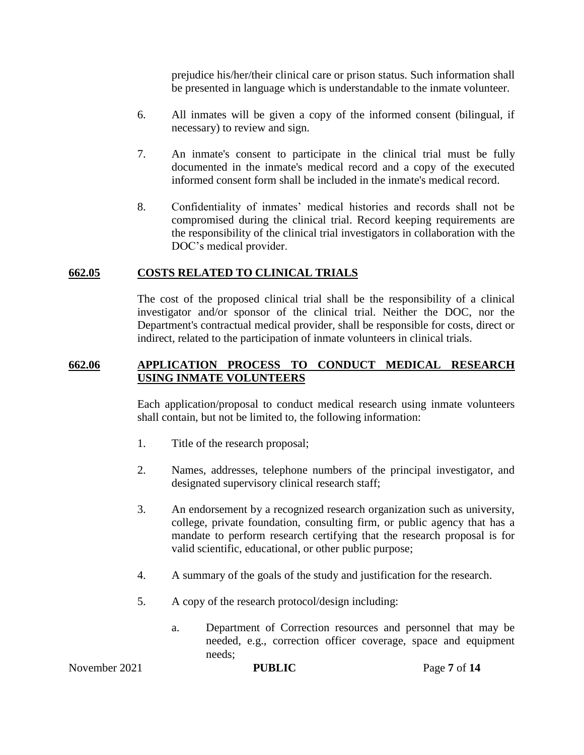prejudice his/her/their clinical care or prison status. Such information shall be presented in language which is understandable to the inmate volunteer.

- 6. All inmates will be given a copy of the informed consent (bilingual, if necessary) to review and sign.
- 7. An inmate's consent to participate in the clinical trial must be fully documented in the inmate's medical record and a copy of the executed informed consent form shall be included in the inmate's medical record.
- 8. Confidentiality of inmates' medical histories and records shall not be compromised during the clinical trial. Record keeping requirements are the responsibility of the clinical trial investigators in collaboration with the DOC's medical provider.

#### **662.05 COSTS RELATED TO CLINICAL TRIALS**

The cost of the proposed clinical trial shall be the responsibility of a clinical investigator and/or sponsor of the clinical trial. Neither the DOC, nor the Department's contractual medical provider, shall be responsible for costs, direct or indirect, related to the participation of inmate volunteers in clinical trials.

### **662.06 APPLICATION PROCESS TO CONDUCT MEDICAL RESEARCH USING INMATE VOLUNTEERS**

Each application/proposal to conduct medical research using inmate volunteers shall contain, but not be limited to, the following information:

- 1. Title of the research proposal;
- 2. Names, addresses, telephone numbers of the principal investigator, and designated supervisory clinical research staff;
- 3. An endorsement by a recognized research organization such as university, college, private foundation, consulting firm, or public agency that has a mandate to perform research certifying that the research proposal is for valid scientific, educational, or other public purpose;
- 4. A summary of the goals of the study and justification for the research.
- 5. A copy of the research protocol/design including:
	- a. Department of Correction resources and personnel that may be needed, e.g., correction officer coverage, space and equipment needs;

November 2021 **PUBLIC** Page 7 of 14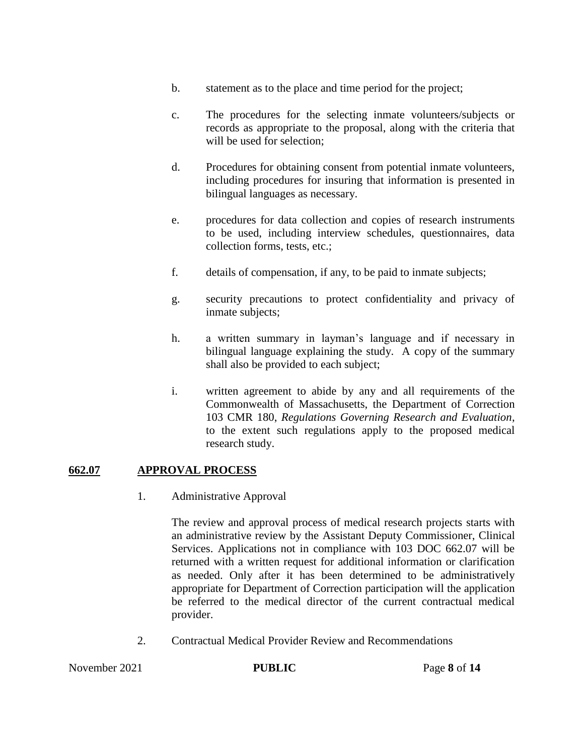- b. statement as to the place and time period for the project;
- c. The procedures for the selecting inmate volunteers/subjects or records as appropriate to the proposal, along with the criteria that will be used for selection;
- d. Procedures for obtaining consent from potential inmate volunteers, including procedures for insuring that information is presented in bilingual languages as necessary.
- e. procedures for data collection and copies of research instruments to be used, including interview schedules, questionnaires, data collection forms, tests, etc.;
- f. details of compensation, if any, to be paid to inmate subjects;
- g. security precautions to protect confidentiality and privacy of inmate subjects;
- h. a written summary in layman's language and if necessary in bilingual language explaining the study. A copy of the summary shall also be provided to each subject;
- i. written agreement to abide by any and all requirements of the Commonwealth of Massachusetts, the Department of Correction 103 CMR 180, *Regulations Governing Research and Evaluation*, to the extent such regulations apply to the proposed medical research study.

#### **662.07 APPROVAL PROCESS**

1. Administrative Approval

The review and approval process of medical research projects starts with an administrative review by the Assistant Deputy Commissioner, Clinical Services. Applications not in compliance with 103 DOC 662.07 will be returned with a written request for additional information or clarification as needed. Only after it has been determined to be administratively appropriate for Department of Correction participation will the application be referred to the medical director of the current contractual medical provider.

2. Contractual Medical Provider Review and Recommendations

November 2021 **PUBLIC** Page 8 of 14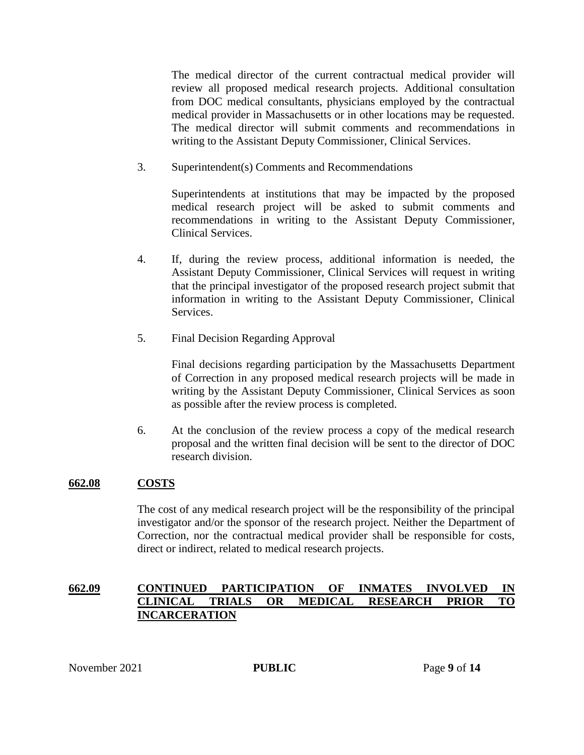The medical director of the current contractual medical provider will review all proposed medical research projects. Additional consultation from DOC medical consultants, physicians employed by the contractual medical provider in Massachusetts or in other locations may be requested. The medical director will submit comments and recommendations in writing to the Assistant Deputy Commissioner, Clinical Services.

3. Superintendent(s) Comments and Recommendations

Superintendents at institutions that may be impacted by the proposed medical research project will be asked to submit comments and recommendations in writing to the Assistant Deputy Commissioner, Clinical Services.

- 4. If, during the review process, additional information is needed, the Assistant Deputy Commissioner, Clinical Services will request in writing that the principal investigator of the proposed research project submit that information in writing to the Assistant Deputy Commissioner, Clinical Services.
- 5. Final Decision Regarding Approval

Final decisions regarding participation by the Massachusetts Department of Correction in any proposed medical research projects will be made in writing by the Assistant Deputy Commissioner, Clinical Services as soon as possible after the review process is completed.

6. At the conclusion of the review process a copy of the medical research proposal and the written final decision will be sent to the director of DOC research division.

# **662.08 COSTS**

The cost of any medical research project will be the responsibility of the principal investigator and/or the sponsor of the research project. Neither the Department of Correction, nor the contractual medical provider shall be responsible for costs, direct or indirect, related to medical research projects.

# **662.09 CONTINUED PARTICIPATION OF INMATES INVOLVED IN CLINICAL TRIALS OR MEDICAL RESEARCH PRIOR TO INCARCERATION**

November 2021 **PUBLIC** Page 9 of 14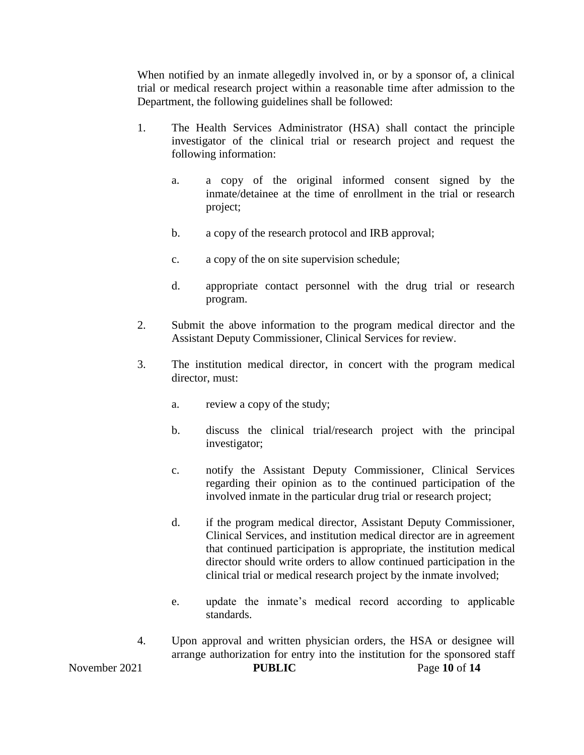When notified by an inmate allegedly involved in, or by a sponsor of, a clinical trial or medical research project within a reasonable time after admission to the Department, the following guidelines shall be followed:

- 1. The Health Services Administrator (HSA) shall contact the principle investigator of the clinical trial or research project and request the following information:
	- a. a copy of the original informed consent signed by the inmate/detainee at the time of enrollment in the trial or research project;
	- b. a copy of the research protocol and IRB approval;
	- c. a copy of the on site supervision schedule;
	- d. appropriate contact personnel with the drug trial or research program.
- 2. Submit the above information to the program medical director and the Assistant Deputy Commissioner, Clinical Services for review.
- 3. The institution medical director, in concert with the program medical director, must:
	- a. review a copy of the study;
	- b. discuss the clinical trial/research project with the principal investigator;
	- c. notify the Assistant Deputy Commissioner, Clinical Services regarding their opinion as to the continued participation of the involved inmate in the particular drug trial or research project;
	- d. if the program medical director, Assistant Deputy Commissioner, Clinical Services, and institution medical director are in agreement that continued participation is appropriate, the institution medical director should write orders to allow continued participation in the clinical trial or medical research project by the inmate involved;
	- e. update the inmate's medical record according to applicable standards.
- November 2021 **PUBLIC** Page 10 of 14 4. Upon approval and written physician orders, the HSA or designee will arrange authorization for entry into the institution for the sponsored staff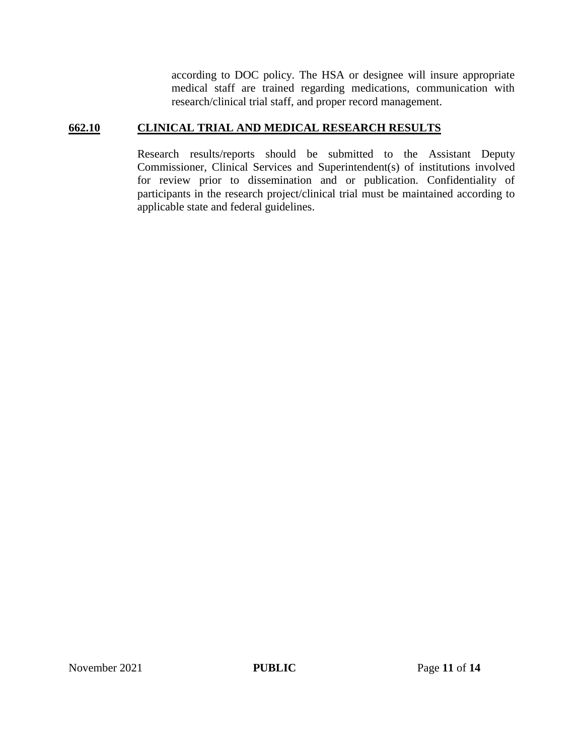according to DOC policy. The HSA or designee will insure appropriate medical staff are trained regarding medications, communication with research/clinical trial staff, and proper record management.

# **662.10 CLINICAL TRIAL AND MEDICAL RESEARCH RESULTS**

Research results/reports should be submitted to the Assistant Deputy Commissioner, Clinical Services and Superintendent(s) of institutions involved for review prior to dissemination and or publication. Confidentiality of participants in the research project/clinical trial must be maintained according to applicable state and federal guidelines.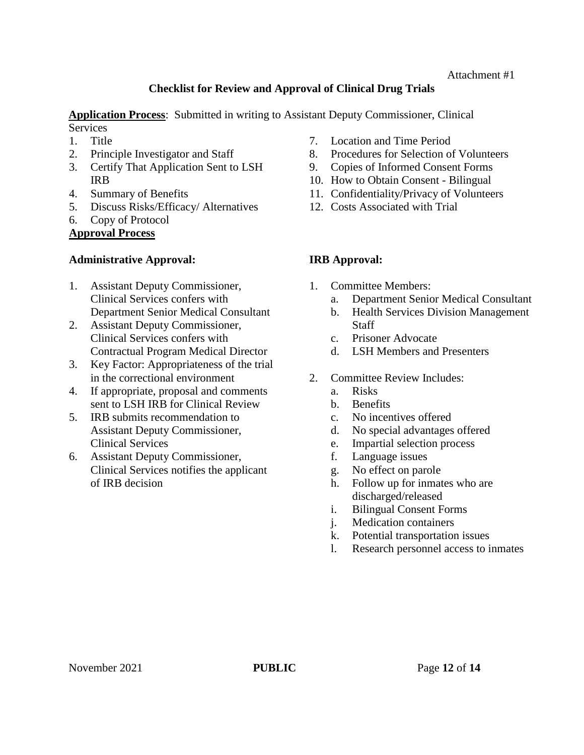# **Checklist for Review and Approval of Clinical Drug Trials**

**Application Process**: Submitted in writing to Assistant Deputy Commissioner, Clinical **Services** 

- 1. Title
- 2. Principle Investigator and Staff
- 3. Certify That Application Sent to LSH IRB
- 4. Summary of Benefits
- 5. Discuss Risks/Efficacy/ Alternatives
- 6. Copy of Protocol

# **Approval Process**

# **Administrative Approval:**

- 1. Assistant Deputy Commissioner, Clinical Services confers with Department Senior Medical Consultant
- 2. Assistant Deputy Commissioner, Clinical Services confers with Contractual Program Medical Director
- 3. Key Factor: Appropriateness of the trial in the correctional environment
- 4. If appropriate, proposal and comments sent to LSH IRB for Clinical Review
- 5. IRB submits recommendation to Assistant Deputy Commissioner, Clinical Services
- 6. Assistant Deputy Commissioner, Clinical Services notifies the applicant of IRB decision
- 7. Location and Time Period
- 8. Procedures for Selection of Volunteers
- 9. Copies of Informed Consent Forms
- 10. How to Obtain Consent Bilingual
- 11. Confidentiality/Privacy of Volunteers
- 12. Costs Associated with Trial

# **IRB Approval:**

- 1. Committee Members:
	- a. Department Senior Medical Consultant
	- b. Health Services Division Management Staff
	- c. Prisoner Advocate
	- d. LSH Members and Presenters
- 2. Committee Review Includes:
	- a. Risks
	- b. Benefits
	- c. No incentives offered
	- d. No special advantages offered
	- e. Impartial selection process
	- f. Language issues
	- g. No effect on parole
	- h. Follow up for inmates who are discharged/released
	- i. Bilingual Consent Forms
	- j. Medication containers
	- k. Potential transportation issues
	- l. Research personnel access to inmates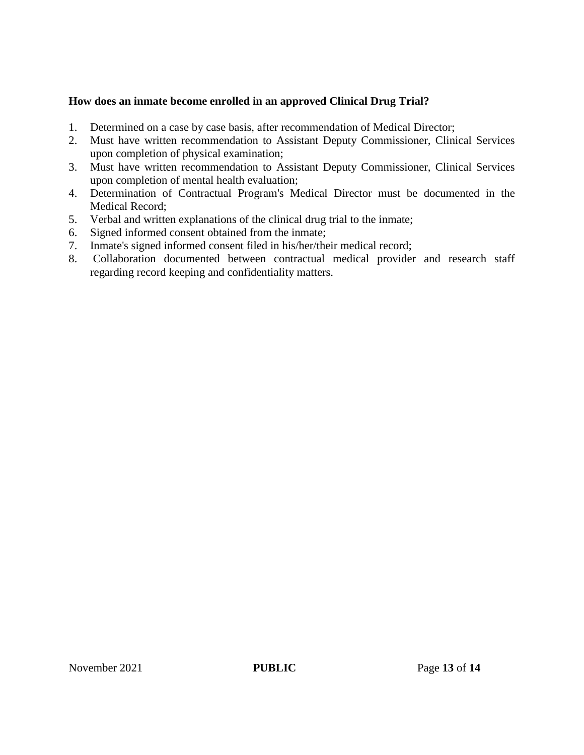## **How does an inmate become enrolled in an approved Clinical Drug Trial?**

- 1. Determined on a case by case basis, after recommendation of Medical Director;
- 2. Must have written recommendation to Assistant Deputy Commissioner, Clinical Services upon completion of physical examination;
- 3. Must have written recommendation to Assistant Deputy Commissioner, Clinical Services upon completion of mental health evaluation;
- 4. Determination of Contractual Program's Medical Director must be documented in the Medical Record;
- 5. Verbal and written explanations of the clinical drug trial to the inmate;
- 6. Signed informed consent obtained from the inmate;
- 7. Inmate's signed informed consent filed in his/her/their medical record;
- 8. Collaboration documented between contractual medical provider and research staff regarding record keeping and confidentiality matters.